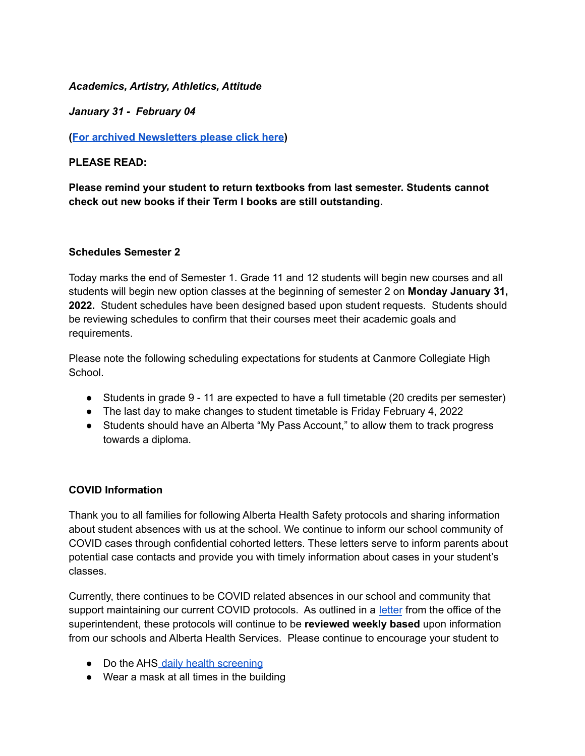### *Academics, Artistry, Athletics, Attitude*

*January 31 - February 04*

**(For archived [Newsletters](https://cchs-crps.rallyonline.ca/about/newsletters) please click here)**

## **PLEASE READ:**

**Please remind your student to return textbooks from last semester. Students cannot check out new books if their Term I books are still outstanding.**

### **Schedules Semester 2**

Today marks the end of Semester 1. Grade 11 and 12 students will begin new courses and all students will begin new option classes at the beginning of semester 2 on **Monday January 31, 2022.** Student schedules have been designed based upon student requests. Students should be reviewing schedules to confirm that their courses meet their academic goals and requirements.

Please note the following scheduling expectations for students at Canmore Collegiate High School.

- Students in grade 9 11 are expected to have a full timetable (20 credits per semester)
- The last day to make changes to student timetable is Friday February 4, 2022
- Students should have an Alberta "My Pass Account," to allow them to track progress towards a diploma.

# **COVID Information**

Thank you to all families for following Alberta Health Safety protocols and sharing information about student absences with us at the school. We continue to inform our school community of COVID cases through confidential cohorted letters. These letters serve to inform parents about potential case contacts and provide you with timely information about cases in your student's classes.

Currently, there continues to be COVID related absences in our school and community that support maintaining our current COVID protocols. As outlined in a [letter](https://www.crps.ca/download/379800) from the office of the superintendent, these protocols will continue to be **reviewed weekly based** upon information from our schools and Alberta Health Services. Please continue to encourage your student to

- Do the AHS daily health [screening](https://open.alberta.ca/dataset/56c020ed-1782-4c6c-bfdd-5af36754471f/resource/58957831-a4ab-45ff-9a8e-3c6af7c1622e/download/covid-19-information-alberta-health-daily-checklist-2022-01.pdf)
- Wear a mask at all times in the building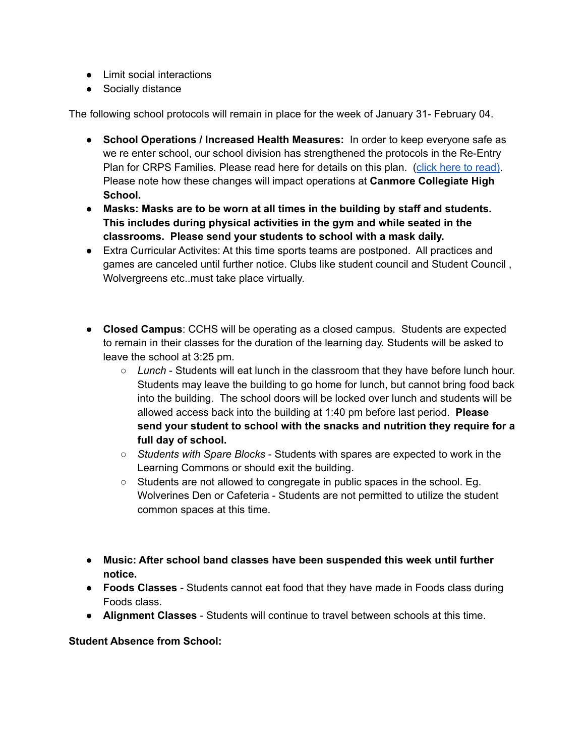- Limit social interactions
- Socially distance

The following school protocols will remain in place for the week of January 31- February 04.

- **School Operations / Increased Health Measures:** In order to keep everyone safe as we re enter school, our school division has strengthened the protocols in the Re-Entry Plan for CRPS Families. Please read here for details on this plan. (click here to [read](https://www.crps.ca/download/349105)[\)](https://www.crps.ca/download/377602). Please note how these changes will impact operations at **Canmore Collegiate High School.**
- **Masks: Masks are to be worn at all times in the building by staff and students. This includes during physical activities in the gym and while seated in the classrooms. Please send your students to school with a mask daily.**
- Extra Curricular Activites: At this time sports teams are postponed. All practices and games are canceled until further notice. Clubs like student council and Student Council , Wolvergreens etc..must take place virtually.
- **Closed Campus**: CCHS will be operating as a closed campus. Students are expected to remain in their classes for the duration of the learning day. Students will be asked to leave the school at 3:25 pm.
	- *Lunch* Students will eat lunch in the classroom that they have before lunch hour. Students may leave the building to go home for lunch, but cannot bring food back into the building. The school doors will be locked over lunch and students will be allowed access back into the building at 1:40 pm before last period. **Please send your student to school with the snacks and nutrition they require for a full day of school.**
	- *Students with Spare Blocks* Students with spares are expected to work in the Learning Commons or should exit the building.
	- Students are not allowed to congregate in public spaces in the school. Eg. Wolverines Den or Cafeteria - Students are not permitted to utilize the student common spaces at this time.
- **Music: After school band classes have been suspended this week until further notice.**
- **Foods Classes** Students cannot eat food that they have made in Foods class during Foods class.
- **Alignment Classes** Students will continue to travel between schools at this time.

# **Student Absence from School:**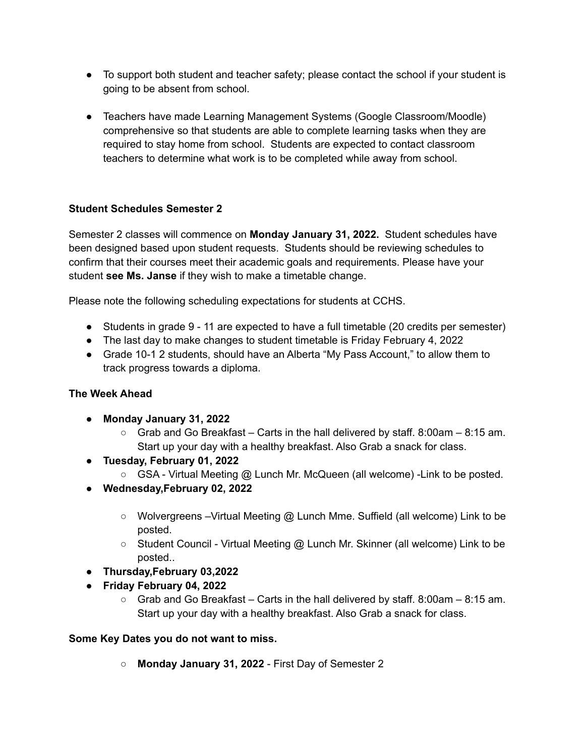- To support both student and teacher safety; please contact the school if your student is going to be absent from school.
- Teachers have made Learning Management Systems (Google Classroom/Moodle) comprehensive so that students are able to complete learning tasks when they are required to stay home from school. Students are expected to contact classroom teachers to determine what work is to be completed while away from school.

# **Student Schedules Semester 2**

Semester 2 classes will commence on **Monday January 31, 2022.** Student schedules have been designed based upon student requests. Students should be reviewing schedules to confirm that their courses meet their academic goals and requirements. Please have your student **see Ms. Janse** if they wish to make a timetable change.

Please note the following scheduling expectations for students at CCHS.

- Students in grade 9 11 are expected to have a full timetable (20 credits per semester)
- The last day to make changes to student timetable is Friday February 4, 2022
- Grade 10-1 2 students, should have an Alberta "My Pass Account," to allow them to track progress towards a diploma.

# **The Week Ahead**

- **Monday January 31, 2022**
	- $\circ$  Grab and Go Breakfast Carts in the hall delivered by staff. 8:00am 8:15 am. Start up your day with a healthy breakfast. Also Grab a snack for class.
- **Tuesday, February 01, 2022**
	- $\circ$  GSA Virtual Meeting @ Lunch Mr. McQueen (all welcome) Link to be posted.
- **Wednesday,February 02, 2022**
	- Wolvergreens Virtual Meeting @ Lunch Mme. Suffield (all welcome) Link to be posted.
	- Student Council Virtual Meeting @ Lunch Mr. Skinner (all welcome) Link to be posted..
- **Thursday,February 03,2022**
- **Friday February 04, 2022**
	- $\circ$  Grab and Go Breakfast Carts in the hall delivered by staff. 8:00am 8:15 am. Start up your day with a healthy breakfast. Also Grab a snack for class.

# **Some Key Dates you do not want to miss.**

○ **Monday January 31, 2022** - First Day of Semester 2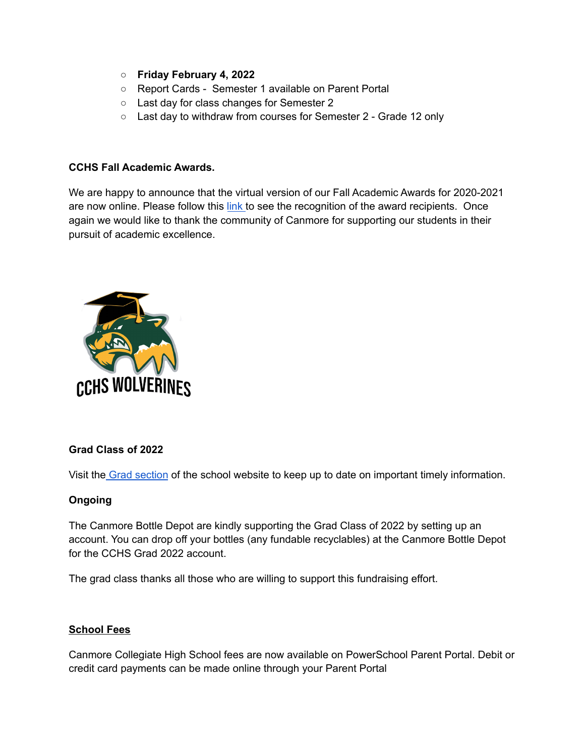- **Friday February 4, 2022**
- Report Cards Semester 1 available on Parent Portal
- Last day for class changes for Semester 2
- Last day to withdraw from courses for Semester 2 Grade 12 only

### **CCHS Fall Academic Awards.**

We are happy to announce that the virtual version of our Fall Academic Awards for 2020-2021 are now online. Please follow this [link](https://cchs.crps.ca/home/news/post/cchs-academic-awards-2021) to see the recognition of the award recipients. Once again we would like to thank the community of Canmore for supporting our students in their pursuit of academic excellence.



### **Grad Class of 2022**

Visit the Grad [section](https://cchs.crps.ca/home/news/post/cchs-grad-update-page) of the school website to keep up to date on important timely information.

### **Ongoing**

The Canmore Bottle Depot are kindly supporting the Grad Class of 2022 by setting up an account. You can drop off your bottles (any fundable recyclables) at the Canmore Bottle Depot for the CCHS Grad 2022 account.

The grad class thanks all those who are willing to support this fundraising effort.

### **School Fees**

Canmore Collegiate High School fees are now available on PowerSchool Parent Portal. Debit or credit card payments can be made online through your Parent Portal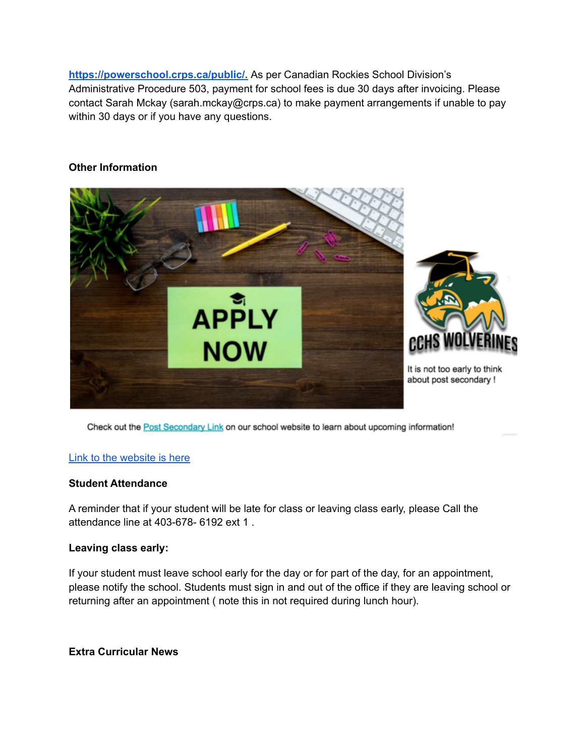**[https://powerschool.crps.ca/public/.](https://powerschool.crps.ca/public/)** As per Canadian Rockies School Division's Administrative Procedure 503, payment for school fees is due 30 days after invoicing. Please contact Sarah Mckay (sarah.mckay@crps.ca) to make payment arrangements if unable to pay within 30 days or if you have any questions.

### **Other Information**



Check out the Post Secondary Link on our school website to learn about upcoming information!

### Link to the [website](https://cchs.crps.ca/programs/post-secondary) is here

#### **Student Attendance**

A reminder that if your student will be late for class or leaving class early, please Call the attendance line at 403-678- 6192 ext 1 .

### **Leaving class early:**

If your student must leave school early for the day or for part of the day, for an appointment, please notify the school. Students must sign in and out of the office if they are leaving school or returning after an appointment ( note this in not required during lunch hour).

### **Extra Curricular News**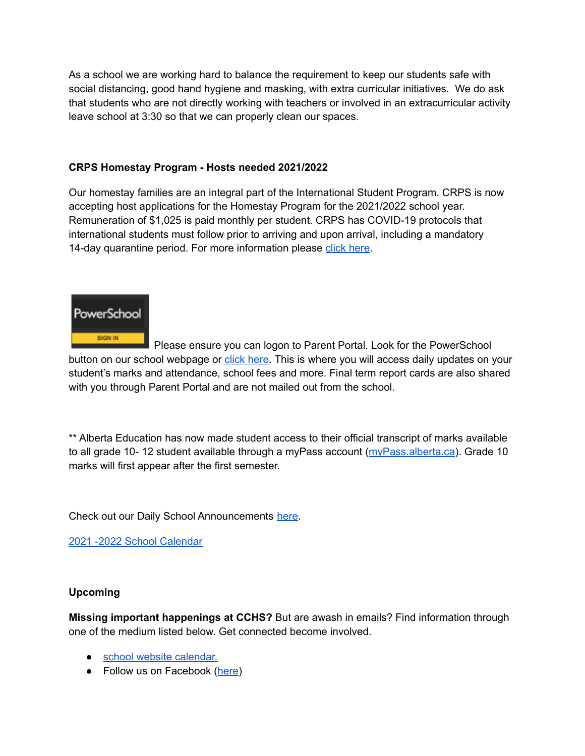As a school we are working hard to balance the requirement to keep our students safe with social distancing, good hand hygiene and masking, with extra curricular initiatives. We do ask that students who are not directly working with teachers or involved in an extracurricular activity leave school at 3:30 so that we can properly clean our spaces.

## **CRPS Homestay Program - Hosts needed 2021/2022**

Our homestay families are an integral part of the International Student Program. CRPS is now accepting host applications for the Homestay Program for the 2021/2022 school year. Remuneration of \$1,025 is paid monthly per student. CRPS has COVID-19 protocols that international students must follow prior to arriving and upon arrival, including a mandatory 14-day quarantine period. For more information please click [here](https://crps.ca/Homestay%20Program.php).



Please ensure you can logon to Parent Portal. Look for the PowerSchool button on our school webpage or click [here.](https://powerschool.crps.ca/public/) This is where you will access daily updates on your student's marks and attendance, school fees and more. Final term report cards are also shared with you through Parent Portal and are not mailed out from the school.

\*\* Alberta Education has now made student access to their official transcript of marks available to all grade 10-12 student available through a myPass account [\(myPass.alberta.ca](https://public.education.alberta.ca/PASI/myPass)). Grade 10 marks will first appear after the first semester.

Check out our Daily School Announcements [here](https://docs.google.com/presentation/d/1eKIacynJnXoiOT2vNIyyWorRDtkcVp_c5pX052OGIN8/edit?usp=sharing).

2021 -2022 School [Calendar](https://www.crps.ca/download/344933)

### **Upcoming**

**Missing important happenings at CCHS?** But are awash in emails? Find information through one of the medium listed below. Get connected become involved.

- school website [calendar.](https://cchs.crps.ca/calendar)
- Follow us on Facebook ([here\)](https://www.facebook.com/cchscanmore/)